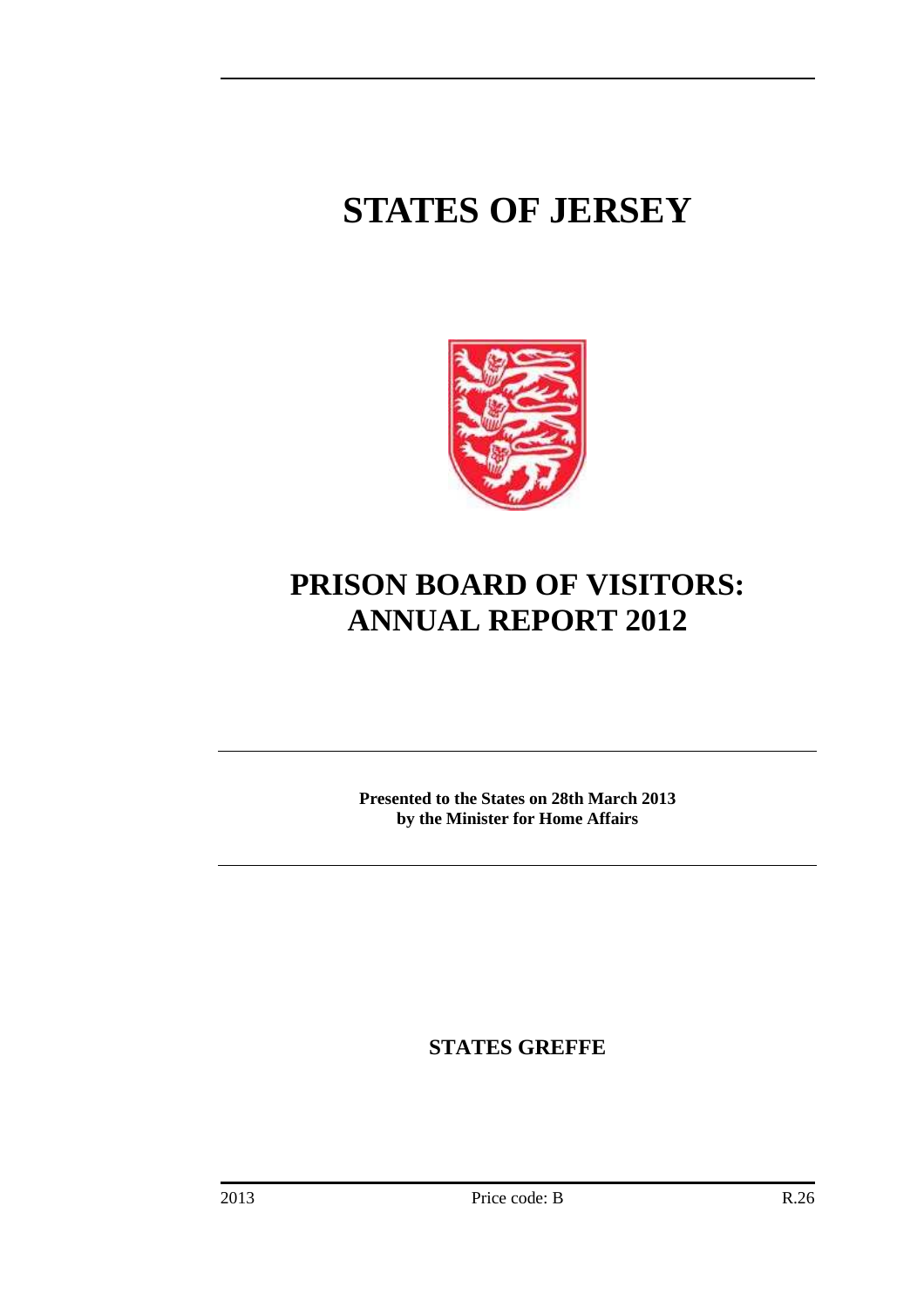# **STATES OF JERSEY**



# **PRISON BOARD OF VISITORS: ANNUAL REPORT 2012**

**Presented to the States on 28th March 2013 by the Minister for Home Affairs** 

**STATES GREFFE**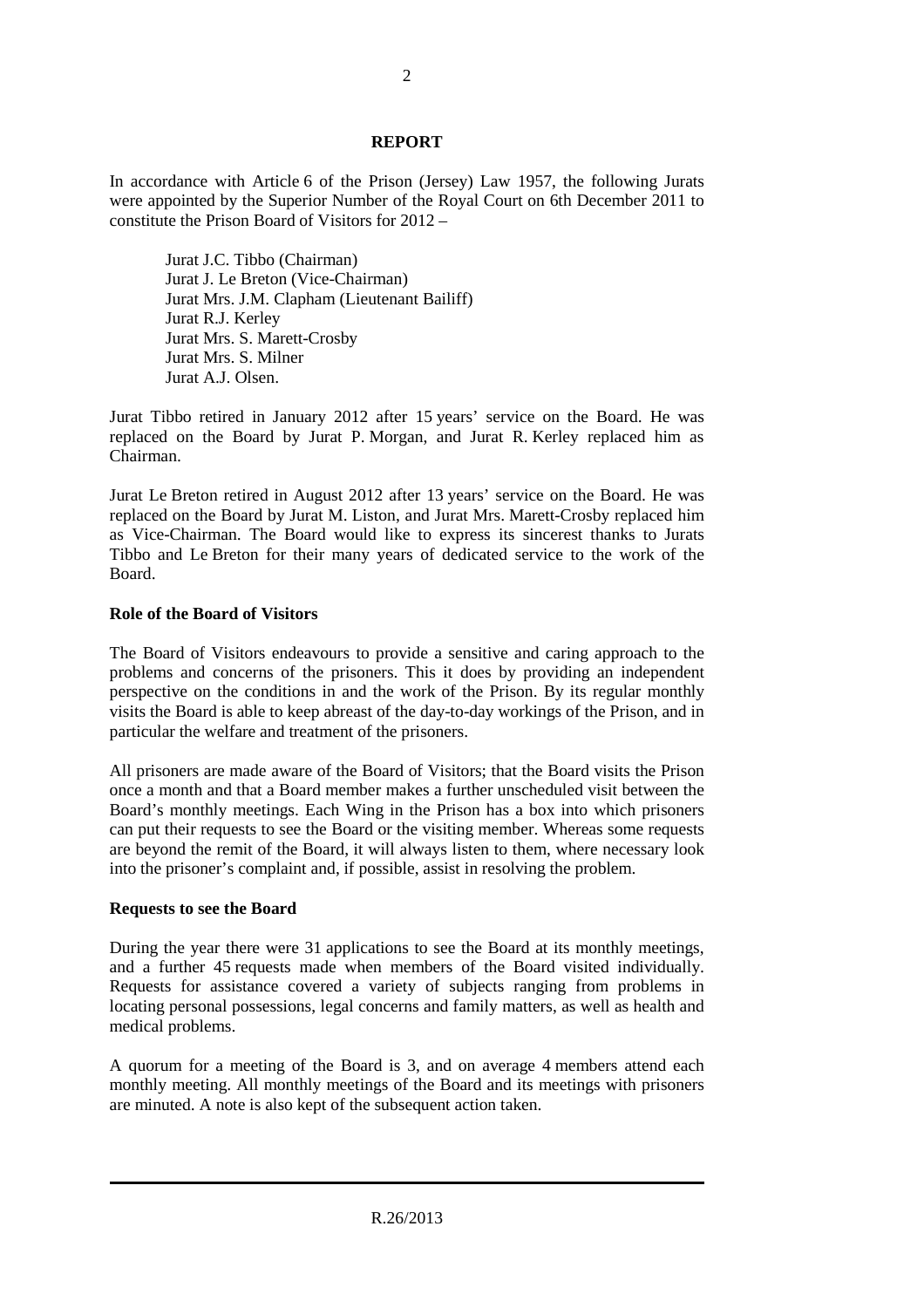# **REPORT**

In accordance with Article 6 of the Prison (Jersey) Law 1957, the following Jurats were appointed by the Superior Number of the Royal Court on 6th December 2011 to constitute the Prison Board of Visitors for 2012 –

Jurat J.C. Tibbo (Chairman) Jurat J. Le Breton (Vice-Chairman) Jurat Mrs. J.M. Clapham (Lieutenant Bailiff) Jurat R.J. Kerley Jurat Mrs. S. Marett-Crosby Jurat Mrs. S. Milner Jurat A.J. Olsen.

Jurat Tibbo retired in January 2012 after 15 years' service on the Board. He was replaced on the Board by Jurat P. Morgan, and Jurat R. Kerley replaced him as Chairman.

Jurat Le Breton retired in August 2012 after 13 years' service on the Board. He was replaced on the Board by Jurat M. Liston, and Jurat Mrs. Marett-Crosby replaced him as Vice-Chairman. The Board would like to express its sincerest thanks to Jurats Tibbo and Le Breton for their many years of dedicated service to the work of the Board.

# **Role of the Board of Visitors**

The Board of Visitors endeavours to provide a sensitive and caring approach to the problems and concerns of the prisoners. This it does by providing an independent perspective on the conditions in and the work of the Prison. By its regular monthly visits the Board is able to keep abreast of the day-to-day workings of the Prison, and in particular the welfare and treatment of the prisoners.

All prisoners are made aware of the Board of Visitors; that the Board visits the Prison once a month and that a Board member makes a further unscheduled visit between the Board's monthly meetings. Each Wing in the Prison has a box into which prisoners can put their requests to see the Board or the visiting member. Whereas some requests are beyond the remit of the Board, it will always listen to them, where necessary look into the prisoner's complaint and, if possible, assist in resolving the problem.

# **Requests to see the Board**

During the year there were 31 applications to see the Board at its monthly meetings, and a further 45 requests made when members of the Board visited individually. Requests for assistance covered a variety of subjects ranging from problems in locating personal possessions, legal concerns and family matters, as well as health and medical problems.

A quorum for a meeting of the Board is 3, and on average 4 members attend each monthly meeting. All monthly meetings of the Board and its meetings with prisoners are minuted. A note is also kept of the subsequent action taken.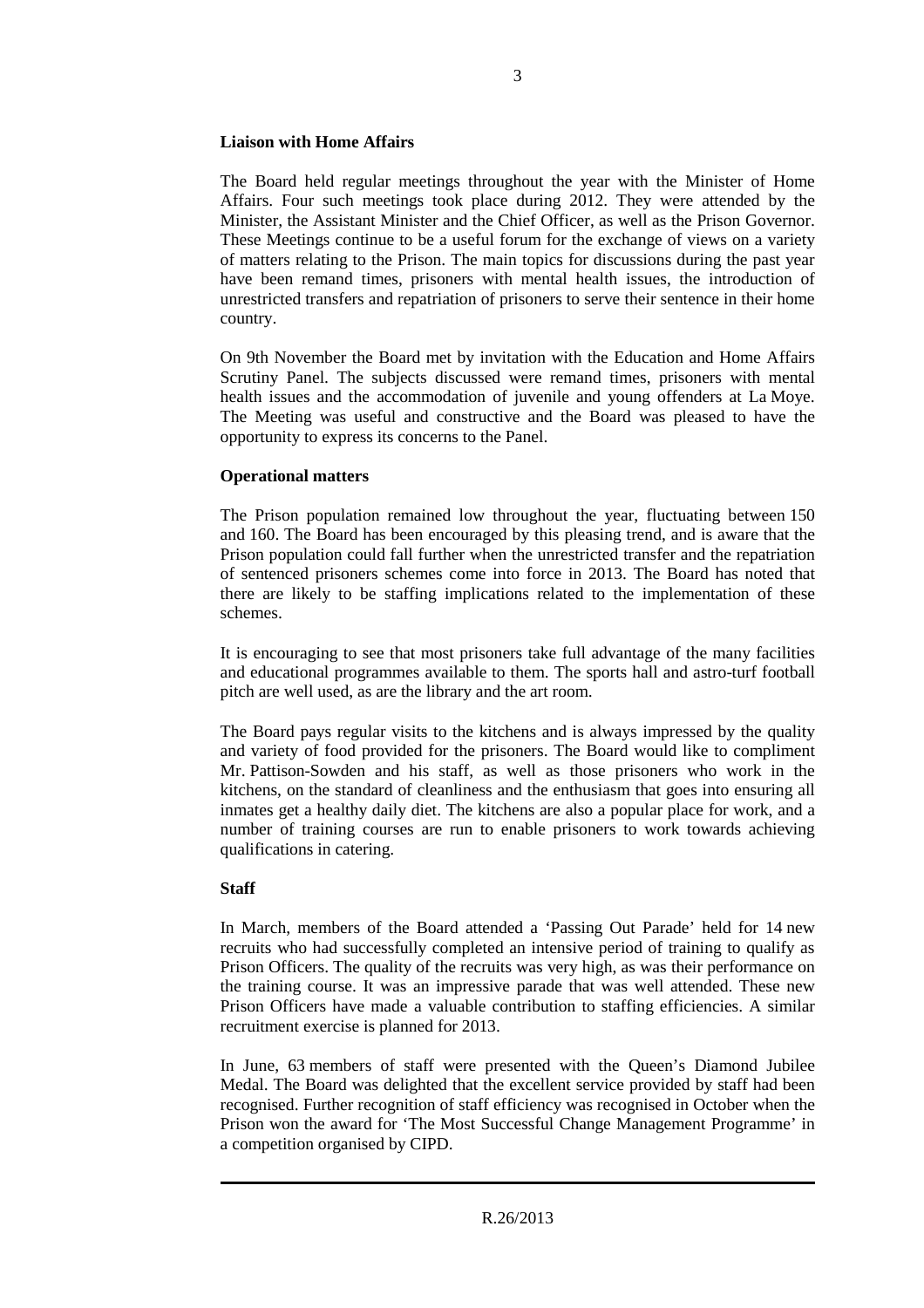# **Liaison with Home Affairs**

The Board held regular meetings throughout the year with the Minister of Home Affairs. Four such meetings took place during 2012. They were attended by the Minister, the Assistant Minister and the Chief Officer, as well as the Prison Governor. These Meetings continue to be a useful forum for the exchange of views on a variety of matters relating to the Prison. The main topics for discussions during the past year have been remand times, prisoners with mental health issues, the introduction of unrestricted transfers and repatriation of prisoners to serve their sentence in their home country.

On 9th November the Board met by invitation with the Education and Home Affairs Scrutiny Panel. The subjects discussed were remand times, prisoners with mental health issues and the accommodation of juvenile and young offenders at La Moye. The Meeting was useful and constructive and the Board was pleased to have the opportunity to express its concerns to the Panel.

# **Operational matters**

The Prison population remained low throughout the year, fluctuating between 150 and 160. The Board has been encouraged by this pleasing trend, and is aware that the Prison population could fall further when the unrestricted transfer and the repatriation of sentenced prisoners schemes come into force in 2013. The Board has noted that there are likely to be staffing implications related to the implementation of these schemes.

It is encouraging to see that most prisoners take full advantage of the many facilities and educational programmes available to them. The sports hall and astro-turf football pitch are well used, as are the library and the art room.

The Board pays regular visits to the kitchens and is always impressed by the quality and variety of food provided for the prisoners. The Board would like to compliment Mr. Pattison-Sowden and his staff, as well as those prisoners who work in the kitchens, on the standard of cleanliness and the enthusiasm that goes into ensuring all inmates get a healthy daily diet. The kitchens are also a popular place for work, and a number of training courses are run to enable prisoners to work towards achieving qualifications in catering.

# **Staff**

In March, members of the Board attended a 'Passing Out Parade' held for 14 new recruits who had successfully completed an intensive period of training to qualify as Prison Officers. The quality of the recruits was very high, as was their performance on the training course. It was an impressive parade that was well attended. These new Prison Officers have made a valuable contribution to staffing efficiencies. A similar recruitment exercise is planned for 2013.

In June, 63 members of staff were presented with the Queen's Diamond Jubilee Medal. The Board was delighted that the excellent service provided by staff had been recognised. Further recognition of staff efficiency was recognised in October when the Prison won the award for 'The Most Successful Change Management Programme' in a competition organised by CIPD.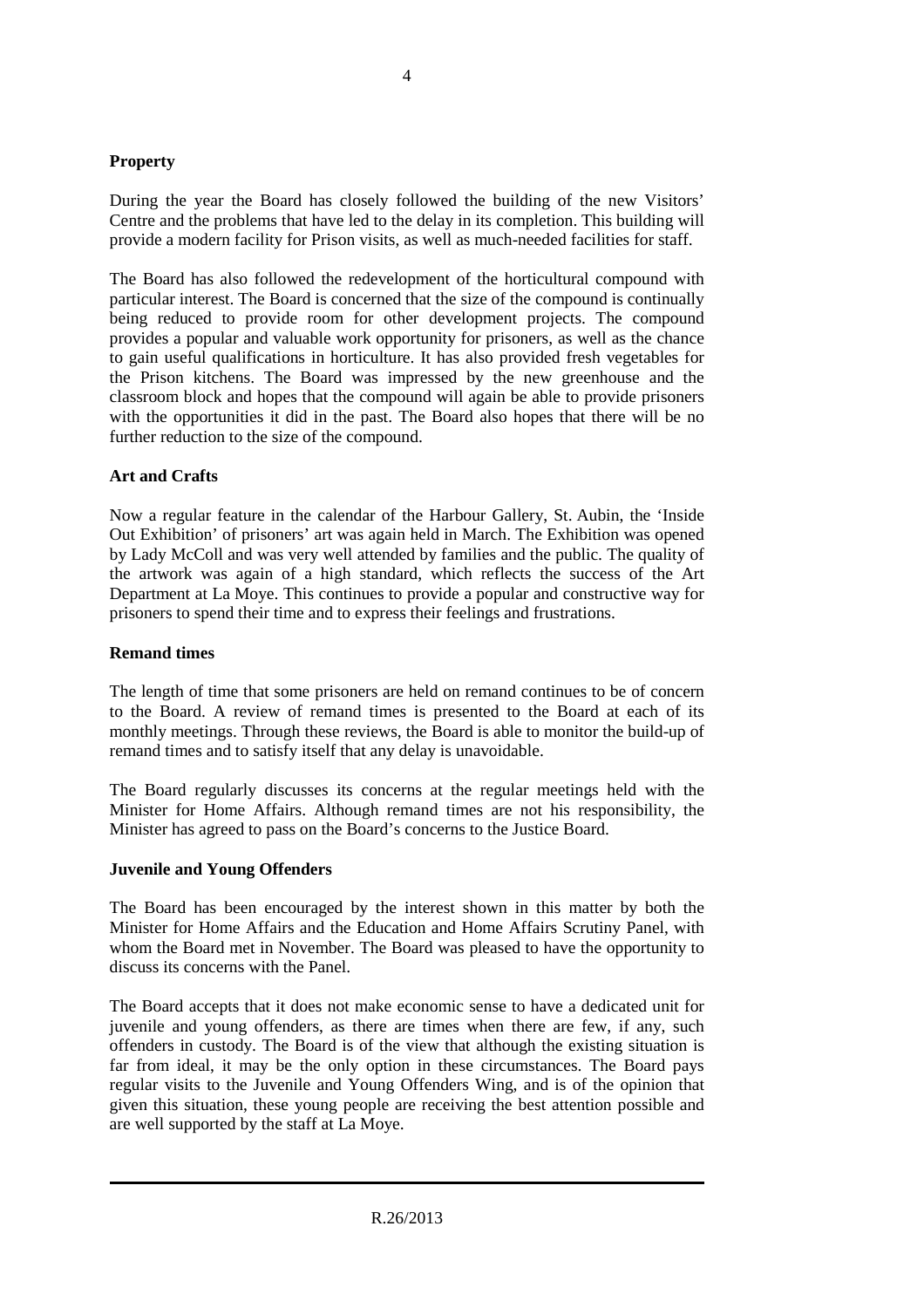# **Property**

During the year the Board has closely followed the building of the new Visitors' Centre and the problems that have led to the delay in its completion. This building will provide a modern facility for Prison visits, as well as much-needed facilities for staff.

The Board has also followed the redevelopment of the horticultural compound with particular interest. The Board is concerned that the size of the compound is continually being reduced to provide room for other development projects. The compound provides a popular and valuable work opportunity for prisoners, as well as the chance to gain useful qualifications in horticulture. It has also provided fresh vegetables for the Prison kitchens. The Board was impressed by the new greenhouse and the classroom block and hopes that the compound will again be able to provide prisoners with the opportunities it did in the past. The Board also hopes that there will be no further reduction to the size of the compound.

# **Art and Crafts**

Now a regular feature in the calendar of the Harbour Gallery, St. Aubin, the 'Inside Out Exhibition' of prisoners' art was again held in March. The Exhibition was opened by Lady McColl and was very well attended by families and the public. The quality of the artwork was again of a high standard, which reflects the success of the Art Department at La Moye. This continues to provide a popular and constructive way for prisoners to spend their time and to express their feelings and frustrations.

# **Remand times**

The length of time that some prisoners are held on remand continues to be of concern to the Board. A review of remand times is presented to the Board at each of its monthly meetings. Through these reviews, the Board is able to monitor the build-up of remand times and to satisfy itself that any delay is unavoidable.

The Board regularly discusses its concerns at the regular meetings held with the Minister for Home Affairs. Although remand times are not his responsibility, the Minister has agreed to pass on the Board's concerns to the Justice Board.

# **Juvenile and Young Offenders**

The Board has been encouraged by the interest shown in this matter by both the Minister for Home Affairs and the Education and Home Affairs Scrutiny Panel, with whom the Board met in November. The Board was pleased to have the opportunity to discuss its concerns with the Panel.

The Board accepts that it does not make economic sense to have a dedicated unit for juvenile and young offenders, as there are times when there are few, if any, such offenders in custody. The Board is of the view that although the existing situation is far from ideal, it may be the only option in these circumstances. The Board pays regular visits to the Juvenile and Young Offenders Wing, and is of the opinion that given this situation, these young people are receiving the best attention possible and are well supported by the staff at La Moye.